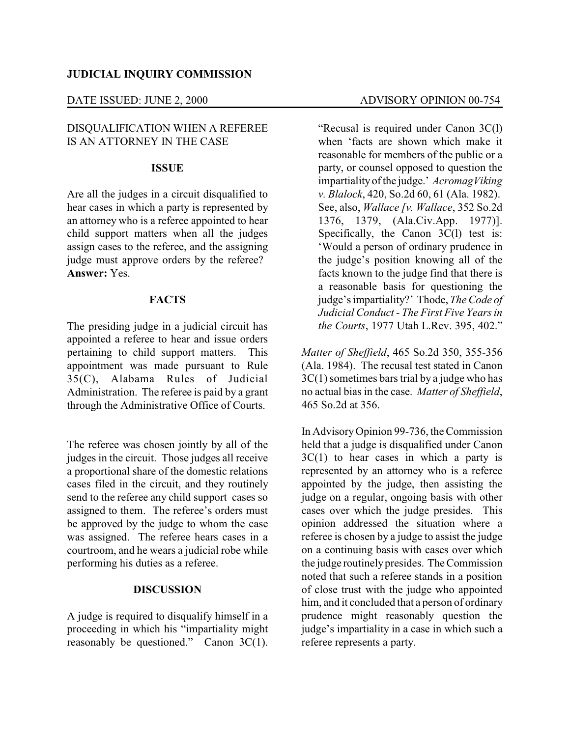### **JUDICIAL INQUIRY COMMISSION**

#### DATE ISSUED: JUNE 2, 2000 ADVISORY OPINION 00-754

# DISQUALIFICATION WHEN A REFEREE IS AN ATTORNEY IN THE CASE

#### **ISSUE**

Are all the judges in a circuit disqualified to hear cases in which a party is represented by an attorney who is a referee appointed to hear child support matters when all the judges assign cases to the referee, and the assigning judge must approve orders by the referee? **Answer:** Yes.

## **FACTS**

The presiding judge in a judicial circuit has appointed a referee to hear and issue orders pertaining to child support matters. This appointment was made pursuant to Rule 35(C), Alabama Rules of Judicial Administration. The referee is paid by a grant through the Administrative Office of Courts.

The referee was chosen jointly by all of the judges in the circuit. Those judges all receive a proportional share of the domestic relations cases filed in the circuit, and they routinely send to the referee any child support cases so assigned to them. The referee's orders must be approved by the judge to whom the case was assigned. The referee hears cases in a courtroom, and he wears a judicial robe while performing his duties as a referee.

### **DISCUSSION**

A judge is required to disqualify himself in a proceeding in which his "impartiality might reasonably be questioned." Canon  $3C(1)$ .

"Recusal is required under Canon 3C(l) when 'facts are shown which make it reasonable for members of the public or a party, or counsel opposed to question the impartialityof the judge.' *AcromagViking v. Blalock*, 420, So.2d 60, 61 (Ala. 1982). See, also, *Wallace [v. Wallace*, 352 So.2d 1376, 1379, (Ala.Civ.App. 1977)]. Specifically, the Canon 3C(l) test is: 'Would a person of ordinary prudence in the judge's position knowing all of the facts known to the judge find that there is a reasonable basis for questioning the judge's impartiality?' Thode, *The Code of Judicial Conduct - The First Five Years in the Courts*, 1977 Utah L.Rev. 395, 402."

*Matter of Sheffield*, 465 So.2d 350, 355-356 (Ala. 1984). The recusal test stated in Canon 3C(1) sometimes bars trial by a judge who has no actual bias in the case. *Matter of Sheffield*, 465 So.2d at 356.

In AdvisoryOpinion 99-736, the Commission held that a judge is disqualified under Canon  $3C(1)$  to hear cases in which a party is represented by an attorney who is a referee appointed by the judge, then assisting the judge on a regular, ongoing basis with other cases over which the judge presides. This opinion addressed the situation where a referee is chosen by a judge to assist the judge on a continuing basis with cases over which the judge routinelypresides. The Commission noted that such a referee stands in a position of close trust with the judge who appointed him, and it concluded that a person of ordinary prudence might reasonably question the judge's impartiality in a case in which such a referee represents a party.